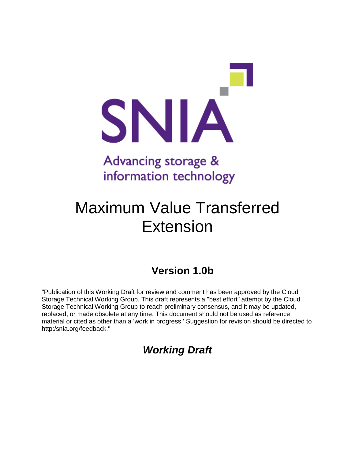

## Advancing storage & information technology

# Maximum Value Transferred Extension

### **Version 1.0b**

"Publication of this Working Draft for review and comment has been approved by the Cloud Storage Technical Working Group. This draft represents a "best effort" attempt by the Cloud Storage Technical Working Group to reach preliminary consensus, and it may be updated, replaced, or made obsolete at any time. This document should not be used as reference material or cited as other than a 'work in progress.' Suggestion for revision should be directed to http:/snia.org/feedback."

### *Working Draft*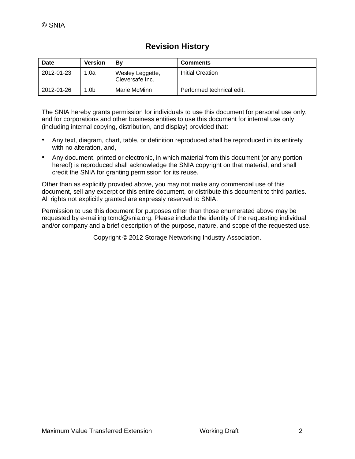| <b>Revision History</b> |  |
|-------------------------|--|
|-------------------------|--|

| Date       | <b>Version</b> | Βv                                  | <b>Comments</b>           |
|------------|----------------|-------------------------------------|---------------------------|
| 2012-01-23 | 1.0a           | Wesley Leggette,<br>Cleversafe Inc. | Initial Creation          |
| 2012-01-26 | 1.0b           | Marie McMinn                        | Performed technical edit. |

The SNIA hereby grants permission for individuals to use this document for personal use only, and for corporations and other business entities to use this document for internal use only (including internal copying, distribution, and display) provided that:

- Any text, diagram, chart, table, or definition reproduced shall be reproduced in its entirety with no alteration, and,
- Any document, printed or electronic, in which material from this document (or any portion hereof) is reproduced shall acknowledge the SNIA copyright on that material, and shall credit the SNIA for granting permission for its reuse.

Other than as explicitly provided above, you may not make any commercial use of this document, sell any excerpt or this entire document, or distribute this document to third parties. All rights not explicitly granted are expressly reserved to SNIA.

Permission to use this document for purposes other than those enumerated above may be requested by e-mailing tcmd@snia.org. Please include the identity of the requesting individual and/or company and a brief description of the purpose, nature, and scope of the requested use.

Copyright © 2012 Storage Networking Industry Association.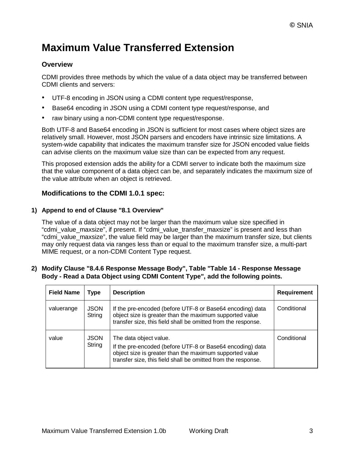### **Maximum Value Transferred Extension**

### **Overview**

CDMI provides three methods by which the value of a data object may be transferred between CDMI clients and servers:

- UTF-8 encoding in JSON using a CDMI content type request/response,
- Base64 encoding in JSON using a CDMI content type request/response, and
- raw binary using a non-CDMI content type request/response.

Both UTF-8 and Base64 encoding in JSON is sufficient for most cases where object sizes are relatively small. However, most JSON parsers and encoders have intrinsic size limitations. A system-wide capability that indicates the maximum transfer size for JSON encoded value fields can advise clients on the maximum value size than can be expected from any request.

This proposed extension adds the ability for a CDMI server to indicate both the maximum size that the value component of a data object can be, and separately indicates the maximum size of the value attribute when an object is retrieved.

### **Modifications to the CDMI 1.0.1 spec:**

#### **1) Append to end of Clause "8.1 Overview"**

The value of a data object may not be larger than the maximum value size specified in "cdmi\_value\_maxsize", if present. If "cdmi\_value\_transfer\_maxsize" is present and less than "cdmi\_value\_maxsize", the value field may be larger than the maximum transfer size, but clients may only request data via ranges less than or equal to the maximum transfer size, a multi-part MIME request, or a non-CDMI Content Type request.

#### **2) Modify Clause "8.4.6 Response Message Body", Table "Table 14 - Response Message Body - Read a Data Object using CDMI Content Type", add the following points.**

| <b>Field Name</b> | <b>Type</b>           | <b>Description</b>                                                                                                                                                                                              | <b>Requirement</b> |
|-------------------|-----------------------|-----------------------------------------------------------------------------------------------------------------------------------------------------------------------------------------------------------------|--------------------|
| valuerange        | <b>JSON</b><br>String | If the pre-encoded (before UTF-8 or Base64 encoding) data<br>object size is greater than the maximum supported value<br>transfer size, this field shall be omitted from the response.                           | Conditional        |
| value             | <b>JSON</b><br>String | The data object value.<br>If the pre-encoded (before UTF-8 or Base64 encoding) data<br>object size is greater than the maximum supported value<br>transfer size, this field shall be omitted from the response. | Conditional        |